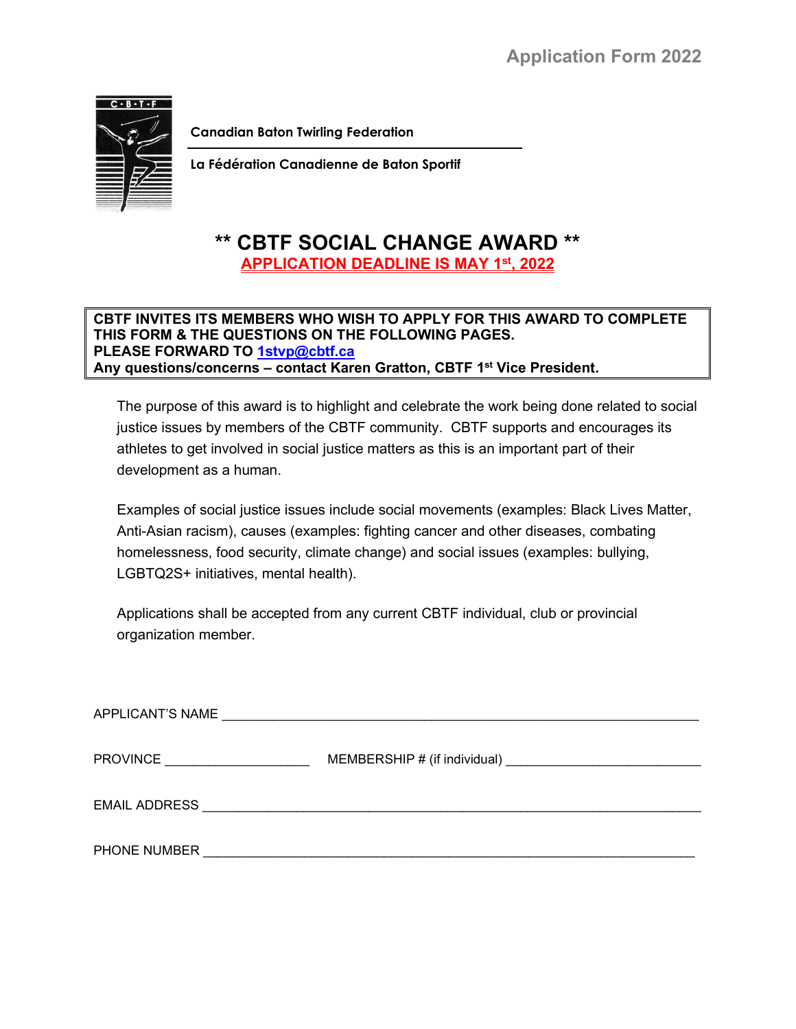

**Canadian Baton Twirling Federation**

**La Fédération Canadienne de Baton Sportif**

## **\*\* CBTF SOCIAL CHANGE AWARD \*\* APPLICATION DEADLINE IS MAY 1st, 2022**

## **CBTF INVITES ITS MEMBERS WHO WISH TO APPLY FOR THIS AWARD TO COMPLETE THIS FORM & THE QUESTIONS ON THE FOLLOWING PAGES. PLEASE FORWARD TO [1stvp@cbtf.ca](mailto:1stvp@cbtf.ca) Any questions/concerns – contact Karen Gratton, CBTF 1st Vice President.**

The purpose of this award is to highlight and celebrate the work being done related to social justice issues by members of the CBTF community. CBTF supports and encourages its athletes to get involved in social justice matters as this is an important part of their development as a human.

Examples of social justice issues include social movements (examples: Black Lives Matter, Anti-Asian racism), causes (examples: fighting cancer and other diseases, combating homelessness, food security, climate change) and social issues (examples: bullying, LGBTQ2S+ initiatives, mental health).

Applications shall be accepted from any current CBTF individual, club or provincial organization member.

| APPLICANT'S NAME                                           |                                                                                                                       |
|------------------------------------------------------------|-----------------------------------------------------------------------------------------------------------------------|
| <b>PROVINCE</b><br><u> 1990 - Johann Barbara, martin a</u> |                                                                                                                       |
| <b>EMAIL ADDRESS</b>                                       | <u> 1989 - Johann John Stein, mars an deutscher Stein und der Stein und der Stein und der Stein und der Stein und</u> |
| PHONE NUMBER                                               |                                                                                                                       |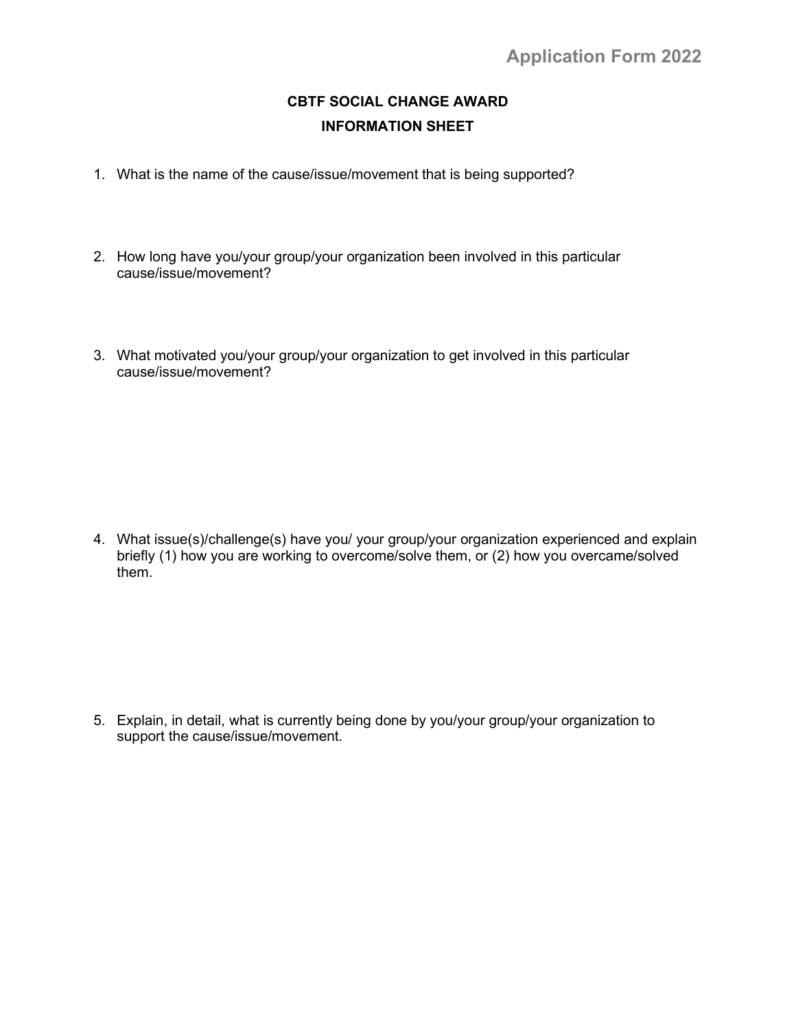## **CBTF SOCIAL CHANGE AWARD INFORMATION SHEET**

- 1. What is the name of the cause/issue/movement that is being supported?
- 2. How long have you/your group/your organization been involved in this particular cause/issue/movement?
- 3. What motivated you/your group/your organization to get involved in this particular cause/issue/movement?

4. What issue(s)/challenge(s) have you/ your group/your organization experienced and explain briefly (1) how you are working to overcome/solve them, or (2) how you overcame/solved them.

5. Explain, in detail, what is currently being done by you/your group/your organization to support the cause/issue/movement.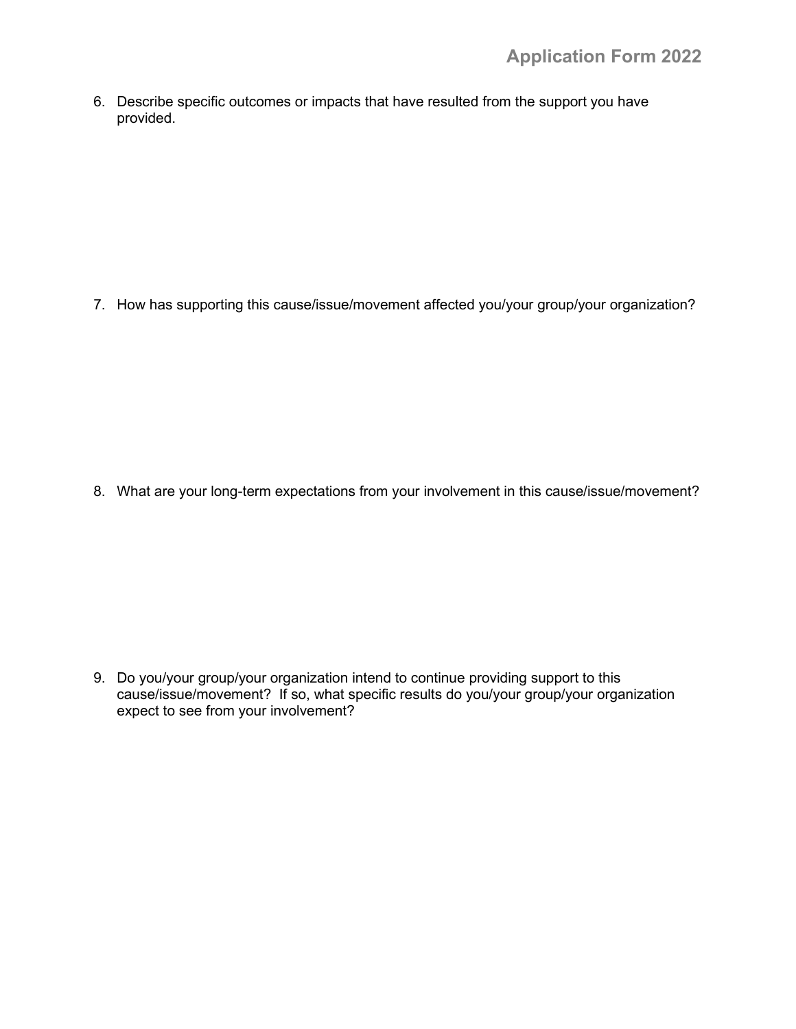6. Describe specific outcomes or impacts that have resulted from the support you have provided.

7. How has supporting this cause/issue/movement affected you/your group/your organization?

8. What are your long-term expectations from your involvement in this cause/issue/movement?

9. Do you/your group/your organization intend to continue providing support to this cause/issue/movement? If so, what specific results do you/your group/your organization expect to see from your involvement?